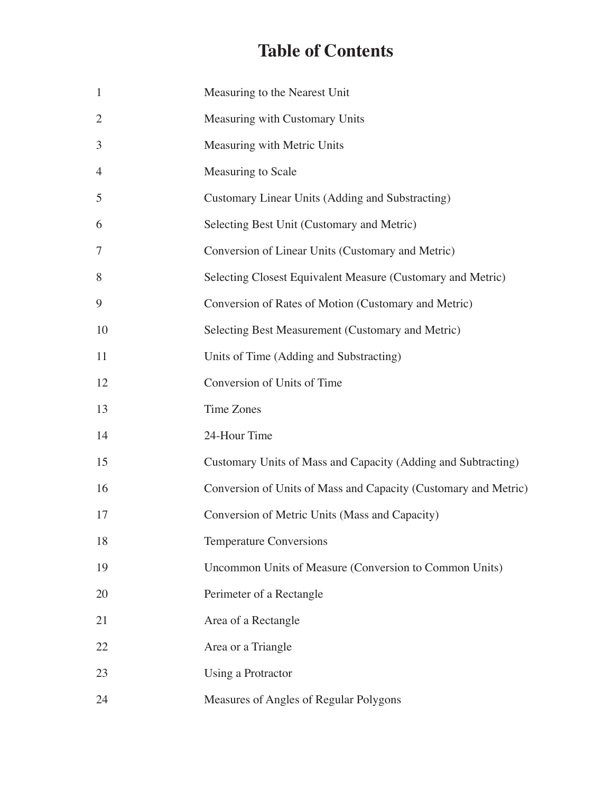## **Table of Contents**

| $\mathbf{1}$   | Measuring to the Nearest Unit                                   |
|----------------|-----------------------------------------------------------------|
| $\overline{2}$ | Measuring with Customary Units                                  |
| 3              | Measuring with Metric Units                                     |
| $\overline{4}$ | Measuring to Scale                                              |
| 5              | Customary Linear Units (Adding and Substracting)                |
| 6              | Selecting Best Unit (Customary and Metric)                      |
| $\tau$         | Conversion of Linear Units (Customary and Metric)               |
| 8              | Selecting Closest Equivalent Measure (Customary and Metric)     |
| 9              | Conversion of Rates of Motion (Customary and Metric)            |
| 10             | Selecting Best Measurement (Customary and Metric)               |
| 11             | Units of Time (Adding and Substracting)                         |
| 12             | Conversion of Units of Time                                     |
| 13             | Time Zones                                                      |
| 14             | 24-Hour Time                                                    |
| 15             | Customary Units of Mass and Capacity (Adding and Subtracting)   |
| 16             | Conversion of Units of Mass and Capacity (Customary and Metric) |
| 17             | Conversion of Metric Units (Mass and Capacity)                  |
| 18             | <b>Temperature Conversions</b>                                  |
| 19             | Uncommon Units of Measure (Conversion to Common Units)          |
| 20             | Perimeter of a Rectangle                                        |
| 21             | Area of a Rectangle                                             |
| 22             | Area or a Triangle                                              |
| 23             | Using a Protractor                                              |
| 24             | Measures of Angles of Regular Polygons                          |